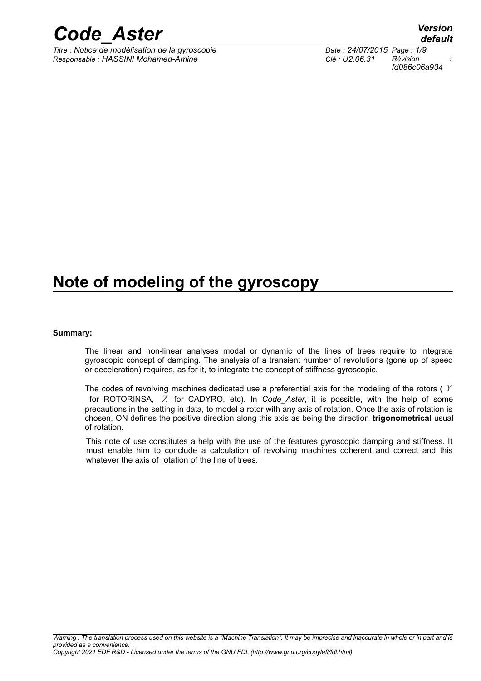

*Titre : Notice de modélisation de la gyroscopie Date : 24/07/2015 Page : 1/9 Responsable : HASSINI Mohamed-Amine Clé : U2.06.31 Révision :*

## **Note of modeling of the gyroscopy**

#### **Summary:**

The linear and non-linear analyses modal or dynamic of the lines of trees require to integrate gyroscopic concept of damping. The analysis of a transient number of revolutions (gone up of speed or deceleration) requires, as for it, to integrate the concept of stiffness gyroscopic.

The codes of revolving machines dedicated use a preferential axis for the modeling of the rotors ( *Y* for ROTORINSA, *Z* for CADYRO, etc). In *Code\_Aster*, it is possible, with the help of some precautions in the setting in data, to model a rotor with any axis of rotation. Once the axis of rotation is chosen, ON defines the positive direction along this axis as being the direction **trigonometrical** usual of rotation.

This note of use constitutes a help with the use of the features gyroscopic damping and stiffness. It must enable him to conclude a calculation of revolving machines coherent and correct and this whatever the axis of rotation of the line of trees.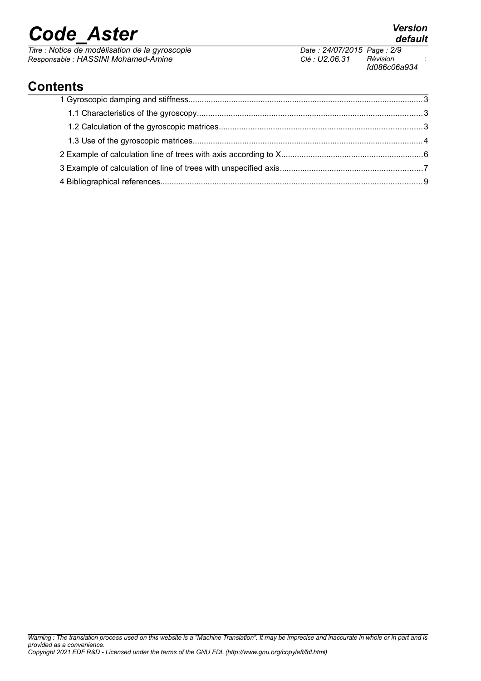*Titre : Notice de modélisation de la gyroscopie Date : 24/07/2015 Page : 2*/97/2015 *Page : 2*/97/2015 *Page : 2*/99/97/2015 *Page : 2*/99/97/2015 *Page : 2*/99/97/2015 *Page : 2*/99/97/2015 *Page : 2*/99/97/2015 *Page Responsable : HASSINI Mohamed-Amine Clé : U2.06.31 Révision :*

*provided as a convenience. Copyright 2021 EDF R&D - Licensed under the terms of the GNU FDL (http://www.gnu.org/copyleft/fdl.html)*

*Warning : The translation process used on this website is a "Machine Translation". It may be imprecise and inaccurate in whole or in part and is*

*fd086c06a934*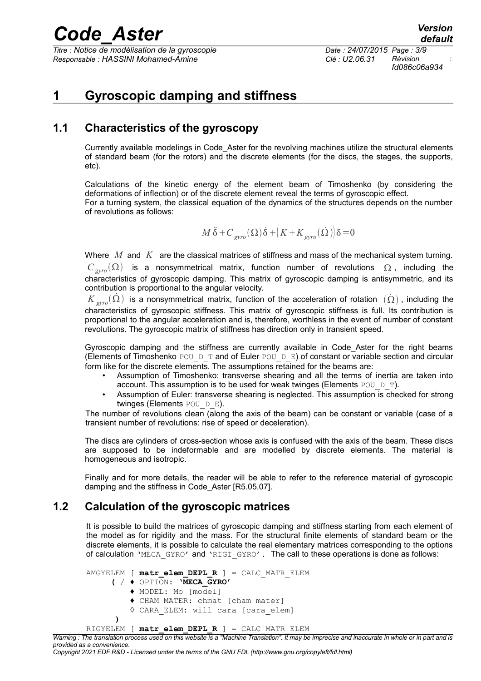*Titre : Notice de modélisation de la gyroscopie Date : 24/07/2015 Page : 3/9 Responsable : HASSINI Mohamed-Amine Clé : U2.06.31 Révision :*

## **1 Gyroscopic damping and stiffness**

### **1.1 Characteristics of the gyroscopy**

Currently available modelings in Code\_Aster for the revolving machines utilize the structural elements of standard beam (for the rotors) and the discrete elements (for the discs, the stages, the supports, etc).

Calculations of the kinetic energy of the element beam of Timoshenko (by considering the deformations of inflection) or of the discrete element reveal the terms of gyroscopic effect. For a turning system, the classical equation of the dynamics of the structures depends on the number of revolutions as follows:

$$
M\ddot{\delta} + C_{gyro}(\Omega)\dot{\delta} + \left(K + K_{gyro}(\dot{\Omega})\right)\delta = 0
$$

Where *M* and *K* are the classical matrices of stiffness and mass of the mechanical system turning.  $C_{\text{gyro}}(\Omega)$  is a nonsymmetrical matrix, function number of revolutions  $\Omega$ , including the characteristics of gyroscopic damping. This matrix of gyroscopic damping is antisymmetric, and its contribution is proportional to the angular velocity.

 $K_{\text{grav}}(\Omega)$  is a nonsymmetrical matrix, function of the acceleration of rotation  $(\Omega)$ , including the characteristics of gyroscopic stiffness. This matrix of gyroscopic stiffness is full. Its contribution is proportional to the angular acceleration and is, therefore, worthless in the event of number of constant revolutions. The gyroscopic matrix of stiffness has direction only in transient speed.

Gyroscopic damping and the stiffness are currently available in Code\_Aster for the right beams (Elements of Timoshenko POU\_D\_T and of Euler POU\_D\_E) of constant or variable section and circular form like for the discrete elements. The assumptions retained for the beams are:

- Assumption of Timoshenko: transverse shearing and all the terms of inertia are taken into account. This assumption is to be used for weak twinges (Elements POU  $D$  T).
- Assumption of Euler: transverse shearing is neglected. This assumption is checked for strong twinges (Elements POU D E).

The number of revolutions clean (along the axis of the beam) can be constant or variable (case of a transient number of revolutions: rise of speed or deceleration).

The discs are cylinders of cross-section whose axis is confused with the axis of the beam. These discs are supposed to be indeformable and are modelled by discrete elements. The material is homogeneous and isotropic.

Finally and for more details, the reader will be able to refer to the reference material of gyroscopic damping and the stiffness in Code\_Aster [R5.05.07].

### **1.2 Calculation of the gyroscopic matrices**

It is possible to build the matrices of gyroscopic damping and stiffness starting from each element of the model as for rigidity and the mass. For the structural finite elements of standard beam or the discrete elements, it is possible to calculate the real elementary matrices corresponding to the options of calculation 'MECA\_GYRO' and 'RIGI\_GYRO'. The call to these operations is done as follows:

```
AMGYELEM [ matr_elem_DEPL_R ] = CALC_MATR_ELEM
      ( / ♦ OPTION: 'MECA_GYRO'
          ♦ MODEL: Mo [model]
          ♦ CHAM_MATER: chmat [cham_mater]
          ◊ CARA_ELEM: will cara [cara_elem]
 )
RIGYELEM [ matr_elem_DEPL_R ] = CALC_MATR_ELEM
```
*Warning : The translation process used on this website is a "Machine Translation". It may be imprecise and inaccurate in whole or in part and is provided as a convenience.*

#### *Copyright 2021 EDF R&D - Licensed under the terms of the GNU FDL (http://www.gnu.org/copyleft/fdl.html)*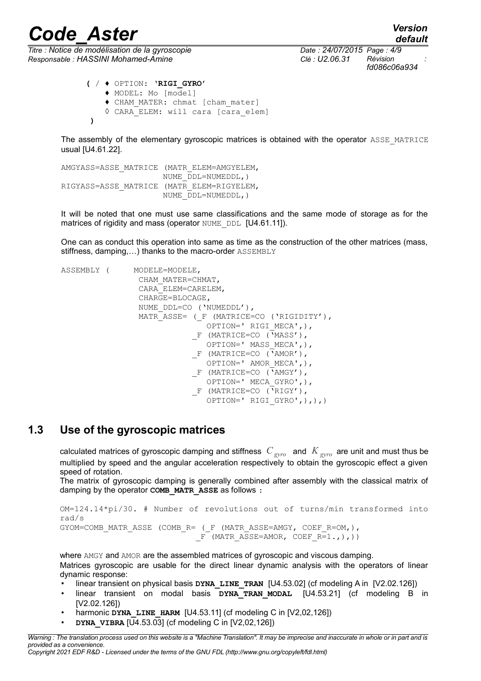*Titre : Notice de modélisation de la gyroscopie Date : 24/07/2015 Page : 4/9 Responsable : HASSINI Mohamed-Amine Clé : U2.06.31 Révision :*

*fd086c06a934*

```
 ( / ♦ OPTION: 'RIGI_GYRO'
    ♦ MODEL: Mo [model]
    ♦ CHAM_MATER: chmat [cham_mater]
    ◊ CARA_ELEM: will cara [cara_elem]
 )
```
The assembly of the elementary gyroscopic matrices is obtained with the operator ASSE MATRICE usual [U4.61.22].

AMGYASS=ASSE\_MATRICE (MATR\_ELEM=AMGYELEM, NUME\_DDL=NUMEDDL,) RIGYASS=ASSE\_MATRICE (MATR\_ELEM=RIGYELEM, NUME\_DDL=NUMEDDL,)

It will be noted that one must use same classifications and the same mode of storage as for the matrices of rigidity and mass (operator NUME\_DDL [U4.61.11]).

One can as conduct this operation into same as time as the construction of the other matrices (mass, stiffness, damping,...) thanks to the macro-order ASSEMBLY

```
ASSEMBLY ( MODELE=MODELE,
                   CHAM_MATER=CHMAT,
                   CARA_ELEM=CARELEM,
                   CHARGE=BLOCAGE,
                   NUME_DDL=CO ('NUMEDDL'),
                   MATR_ASSE= (_F (MATRICE=CO ('RIGIDITY'),
                                  OPTION=' RIGI_MECA',),
                               F (MATRICE=CO (\overline{Y}MASS'),
                                  OPTION=' MASS_MECA',),
                               F (MATRICE=CO (\bar{Y}AMOR'),
                                  OPTION=' AMOR_MECA',),
                               F (MATRICE=CO (<sup>'</sup>AMGY'),
                                  OPTION=' MECA_GYRO',),
                               F (MATRICE=CO (<sup>'</sup>RIGY'),
                                 OPTION=' RIGI GYRO',),),)
```
### **1.3 Use of the gyroscopic matrices**

calculated matrices of gyroscopic damping and stiffness *C gyro* and *K gyro* are unit and must thus be multiplied by speed and the angular acceleration respectively to obtain the gyroscopic effect a given speed of rotation.

The matrix of gyroscopic damping is generally combined after assembly with the classical matrix of damping by the operator **COMB\_MATR\_ASSE** as follows :

OM=124.14\*pi/30. # Number of revolutions out of turns/min transformed into rad/s GYOM=COMB\_MATR\_ASSE (COMB\_R= ( F (MATR\_ASSE=AMGY, COEF\_R=OM,),  $F$  (MATR ASSE=AMOR, COEF R=1.,),))

where AMGY and AMOR are the assembled matrices of gyroscopic and viscous damping. Matrices gyroscopic are usable for the direct linear dynamic analysis with the operators of linear dynamic response:

- linear transient on physical basis **DYNA\_LINE\_TRAN** [U4.53.02] (cf modeling A in [V2.02.126])
- linear transient on modal basis **DYNA\_TRAN\_MODAL** [U4.53.21] (cf modeling B in [V2.02.126])
- harmonic DYNA LINE HARM [U4.53.11] (cf modeling C in [V2,02,126])
- **DYNA\_VIBRA** [U4.53.03] (cf modeling C in [V2,02,126])

*Copyright 2021 EDF R&D - Licensed under the terms of the GNU FDL (http://www.gnu.org/copyleft/fdl.html)*

*Warning : The translation process used on this website is a "Machine Translation". It may be imprecise and inaccurate in whole or in part and is provided as a convenience.*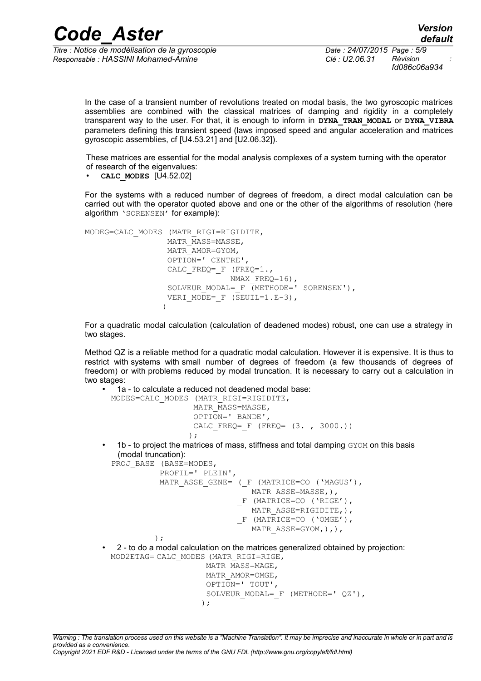*Titre : Notice de modélisation de la gyroscopie Date : 24/07/2015 Page : 5/9 Responsable : HASSINI Mohamed-Amine Clé : U2.06.31 Révision :*

*fd086c06a934*

In the case of a transient number of revolutions treated on modal basis, the two gyroscopic matrices assemblies are combined with the classical matrices of damping and rigidity in a completely transparent way to the user. For that, it is enough to inform in **DYNA\_TRAN\_MODAL** or **DYNA\_VIBRA** parameters defining this transient speed (laws imposed speed and angular acceleration and matrices gyroscopic assemblies, cf [U4.53.21] and [U2.06.32]).

These matrices are essential for the modal analysis complexes of a system turning with the operator of research of the eigenvalues:

• **CALC\_MODES** [U4.52.02]

) :

For the systems with a reduced number of degrees of freedom, a direct modal calculation can be carried out with the operator quoted above and one or the other of the algorithms of resolution (here algorithm 'SORENSEN' for example):

```
MODEG=CALC MODES (MATR RIGI=RIGIDITE,
                MATR_MASS=MASSE,
                 MATR_AMOR=GYOM,
                 OPTION=' CENTRE',
                CALC FREQ= F (FREQ=1.,
                            NMAX FREQ=16),
                SOLVEUR MODAL= F (METHODE=' SORENSEN'),
                VERI MODE= F (SEUIL=1.E-3),
 )
```
For a quadratic modal calculation (calculation of deadened modes) robust, one can use a strategy in two stages.

Method QZ is a reliable method for a quadratic modal calculation. However it is expensive. It is thus to restrict with systems with small number of degrees of freedom (a few thousands of degrees of freedom) or with problems reduced by modal truncation. It is necessary to carry out a calculation in two stages:

```
• 1a - to calculate a reduced not deadened modal base:
            MODES=CALC_MODES (MATR_RIGI=RIGIDITE,
                              MATR MASS=MASSE,
                               OPTION=' BANDE',
                              CALC FREQ= F (FREQ= (3. , 3000.))) ;
             1b - to project the matrices of mass, stiffness and total damping GYOM on this basis
             (modal truncation):
            PROJ BASE (BASE=MODES,
                        PROFIL=' PLEIN',
                      MATR ASSE GENE= ( F (MATRICE=CO ('MAGUS'),
                                           MATR_ASSE=MASSE,),
                                        F (MATRICE=CO ('RIGE'),
                                         MATR ASSE=RIGIDITE, ),
                                        F (MATRICE=CO ('OMGE'),
```
MATR ASSE=GYOM, ), ),

• 2 - to do a modal calculation on the matrices generalized obtained by projection:

```
 MOD2ETAG= CALC_MODES (MATR_RIGI=RIGE,
                       MATR_MASS=MAGE,
                       MATR_AMOR=OMGE,
                       OPTION=' TOUT',
                      SOLVEUR MODAL= F (METHODE=' QZ'),
) ;
```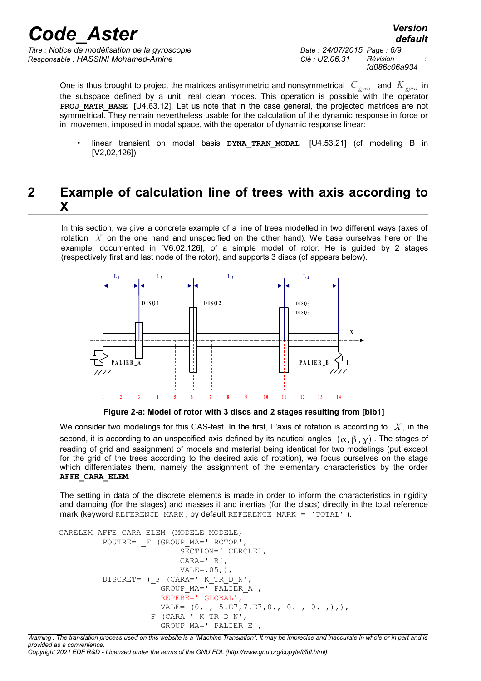*Titre : Notice de modélisation de la gyroscopie Date : 24/07/2015 Page : 6/9 Responsable : HASSINI Mohamed-Amine Clé : U2.06.31 Révision :*

*fd086c06a934*

One is thus brought to project the matrices antisymmetric and nonsymmetrical *C gyro* and *K gyro* in the subspace defined by a unit real clean modes. This operation is possible with the operator **PROJ\_MATR\_BASE** [U4.63.12]. Let us note that in the case general, the projected matrices are not symmetrical. They remain nevertheless usable for the calculation of the dynamic response in force or in movement imposed in modal space, with the operator of dynamic response linear:

• linear transient on modal basis **DYNA\_TRAN\_MODAL** [U4.53.21] (cf modeling B in [V2,02,126])

## **2 Example of calculation line of trees with axis according to X**

In this section, we give a concrete example of a line of trees modelled in two different ways (axes of rotation *X* on the one hand and unspecified on the other hand). We base ourselves here on the example, documented in [V6.02.126], of a simple model of rotor. He is guided by 2 stages (respectively first and last node of the rotor), and supports 3 discs (cf appears below).



**Figure 2-a: Model of rotor with 3 discs and 2 stages resulting from [bib1]**

We consider two modelings for this CAS-test. In the first, L'axis of rotation is according to *X* , in the second, it is according to an unspecified axis defined by its nautical angles  $(\alpha, \beta, \gamma)$ . The stages of reading of grid and assignment of models and material being identical for two modelings (put except for the grid of the trees according to the desired axis of rotation), we focus ourselves on the stage which differentiates them, namely the assignment of the elementary characteristics by the order **AFFE\_CARA\_ELEM**.

The setting in data of the discrete elements is made in order to inform the characteristics in rigidity and damping (for the stages) and masses it and inertias (for the discs) directly in the total reference mark (keyword REFERENCE MARK , by default REFERENCE MARK = 'TOTAL' ).

```
CARELEM=AFFE_CARA_ELEM (MODELE=MODELE,
          POUTRE= F (GROUP MA=' ROTOR',
                               SECTION=' CERCLE',
                               CARA=' R',
                              VALE=.05,), DISCRET= (_F (CARA=' K_TR_D_N',
                         GROUP MA = \overline{PALIER} A', REPERE=' GLOBAL',
                         VALE= (0. , 5.E7, 7.E7, 0., 0. , 0. , 0.F (CARA=' K TR D N',
                         GROUP MA = \overline{V} = \overline{L} PALIER E',
```
*Warning : The translation process used on this website is a "Machine Translation". It may be imprecise and inaccurate in whole or in part and is provided as a convenience. Copyright 2021 EDF R&D - Licensed under the terms of the GNU FDL (http://www.gnu.org/copyleft/fdl.html)*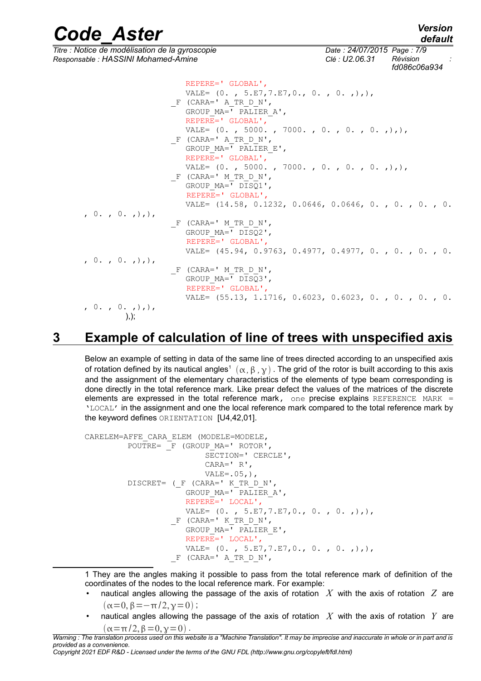*Code\_Aster Version default Titre : Notice de modélisation de la gyroscopie Date : 24/07/2015 Page : 7/9 Responsable : HASSINI Mohamed-Amine Clé : U2.06.31 Révision : fd086c06a934* REPERE=' GLOBAL', VALE=  $(0. , 5.E7, 7.E7, 0., 0. , 0. , 0.$  $F$  (CARA=' A TR D N', GROUP  $MA = \overline{V} = \overline{L} = K$  A', REPERE=' GLOBAL', VALE= (0. , 5000. , 7000. , 0. , 0. , 0. ,),),  $F$  (CARA=' A TR D N', GROUP  $MA = \overline{V}$  PALIER E', REPERE=' GLOBAL', VALE= (0., 5000., 7000., 0., 0., 0.,),),  $F$  (CARA=' M\_TR\_D\_N', GROUP  $MA = \overline{V}$  DISQ1', REPERE=' GLOBAL', VALE= (14.58, 0.1232, 0.0646, 0.0646, 0. , 0. , 0. , 0. , 0. , 0. ,),),  $F$  (CARA=' M TR D N', GROUP MA=' DISQ2', REPERE=' GLOBAL', VALE= (45.94, 0.9763, 0.4977, 0.4977, 0. , 0. , 0. , 0.  $, 0.$ ,  $0.$ ,  $), )$  $F$  (CARA=' M TR D N', GROUP\_MA=' DISQ3', REPERE=' GLOBAL', VALE= (55.13, 1.1716, 0.6023, 0.6023, 0. , 0. , 0. , 0.  $0.$ ,  $0.$ ,  $)$ ,  $)$ ,

## **3 Example of calculation of line of trees with unspecified axis**

 $),$ 

Below an example of setting in data of the same line of trees directed according to an unspecified axis of rotation defined by its nautical angles $^1$  $^1$   $(\alpha,\beta$  ,  $\gamma)$  . The grid of the rotor is built according to this axis and the assignment of the elementary characteristics of the elements of type beam corresponding is done directly in the total reference mark. Like prear defect the values of the matrices of the discrete elements are expressed in the total reference mark, one precise explains REFERENCE MARK = 'LOCAL' in the assignment and one the local reference mark compared to the total reference mark by the keyword defines ORIENTATION [U4,42,01].

```
CARELEM=AFFE_CARA_ELEM (MODELE=MODELE,
         POUTRE= F (GROUP MA=' ROTOR',
                            SECTION=' CERCLE',
                            CARA=' R',
                           VALE=.05, ),
          DISCRET= (_F (CARA=' K_TR_D_N',
                        GROUP_MA=' PALIER_A',
                        REPERE=' LOCAL',
                       VALE= (0. , 5.E7, 7.E7, 0., 0. , 0. , 0.F (CARA=' K TR D N',
                       GROUP MA = \overline{V} = \overline{L}ER E',
                        REPERE=' LOCAL',
                       VALE= (0. , 5.E7, 7.E7, 0., 0. , 0. , 0.F (CARA=' A TR D N',
```
<span id="page-6-0"></span>1 They are the angles making it possible to pass from the total reference mark of definition of the coordinates of the nodes to the local reference mark. For example:

- nautical angles allowing the passage of the axis of rotation *X* with the axis of rotation *Z* are  $(\alpha=0, \beta=-\pi/2, \gamma=0)$ ;
- nautical angles allowing the passage of the axis of rotation  $\overline{X}$  with the axis of rotation  $\overline{Y}$  are  $(\alpha=\pi/2,\beta=0,\gamma=0)$ .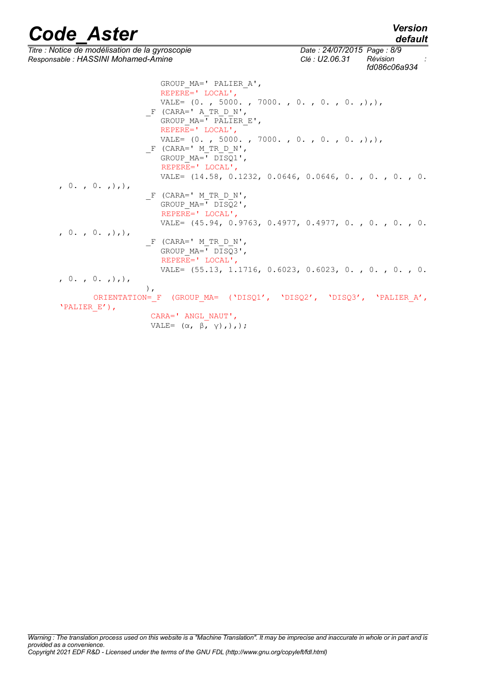*default*

*Titre : Notice de modélisation de la gyroscopie Date : 24/07/2015 Page : 8/9 Responsable : HASSINI Mohamed-Amine Clé : U2.06.31 Révision :*

*fd086c06a934*

| GROUP MA=' PALIER A',                                             |
|-------------------------------------------------------------------|
| REPERE=' $LOCAL',$                                                |
| VALE= $(0. , 5000. , 7000. , 0. , 0. , 0. , 0.$                   |
| $F$ (CARA=' A TR D N',                                            |
| GROUP $MA=$ ' PALIER E',                                          |
| REPERE=' LOCAL',                                                  |
| VALE= $(0. , 5000. , 7000. , 0. , 0. , 0. , 0.$                   |
| $F$ (CARA=' M TR D N',                                            |
| GROUP $MA = ' DISQ1',$                                            |
|                                                                   |
| REPERE=' LOCAL',                                                  |
| VALE= $(14.58, 0.1232, 0.0646, 0.0646, 0.$ , 0., 0., 0., 0.       |
| , 0. , 0. , )                                                     |
| $F$ (CARA=' M TR D N',                                            |
| GROUP MA=' DISQ2',                                                |
| REPERE=' LOCAL',                                                  |
| VALE= $(45.94, 0.9763, 0.4977, 0.4977, 0.$ , 0., 0., 0.           |
| (0.70.70.7)                                                       |
| $F$ (CARA=' M TR D N',                                            |
| GROUP $MA = ' DISQ3',$                                            |
| REPERE=' LOCAL',                                                  |
| VALE= $(55.13, 1.1716, 0.6023, 0.6023, 0.$ , 0., 0., 0.           |
| (0, 0, 0, 0, 0)                                                   |
| $\lambda$ .                                                       |
| ORIENTATION= F (GROUP MA= ('DISQ1', 'DISQ2', 'DISQ3', 'PALIER A', |
| 'PALIER E'),                                                      |
| CARA=' ANGL NAUT',                                                |
| VALE= $(\alpha, \beta, \gamma), \)$ ;                             |
|                                                                   |

*Warning : The translation process used on this website is a "Machine Translation". It may be imprecise and inaccurate in whole or in part and is provided as a convenience. Copyright 2021 EDF R&D - Licensed under the terms of the GNU FDL (http://www.gnu.org/copyleft/fdl.html)*